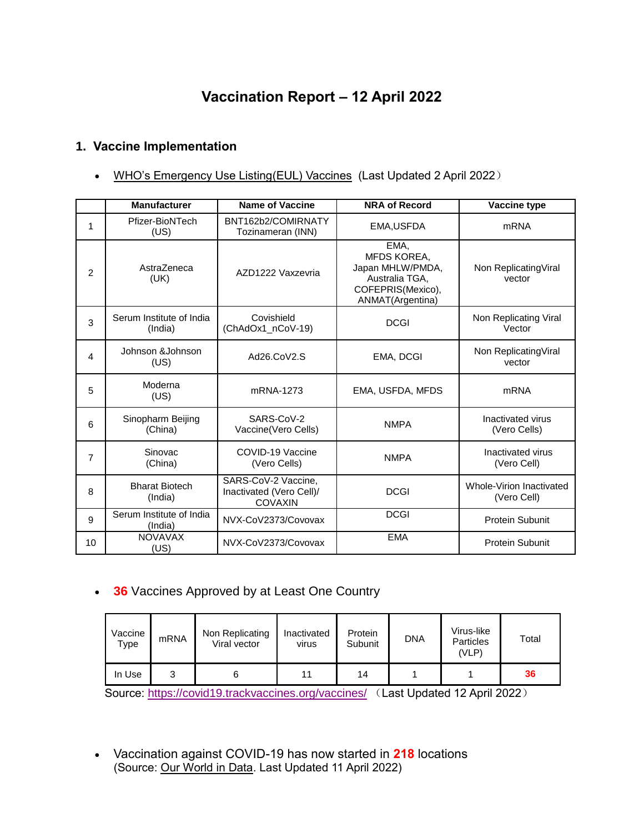# **Vaccination Report – 12 April 2022**

### **1. Vaccine Implementation**

• [WHO's Emergency Use Listing\(EUL\) Vaccines](https://extranet.who.int/pqweb/sites/default/files/documents/Status_COVID_VAX_02April2022.pdf) (Last Updated 2 April 2022)

|                | <b>Manufacturer</b>                 | <b>Name of Vaccine</b>                                            | <b>NRA of Record</b>                                                                               | Vaccine type                            |
|----------------|-------------------------------------|-------------------------------------------------------------------|----------------------------------------------------------------------------------------------------|-----------------------------------------|
| 1              | Pfizer-BioNTech<br>(US)             | BNT162b2/COMIRNATY<br>Tozinameran (INN)                           | EMA, USFDA                                                                                         | mRNA                                    |
| $\overline{2}$ | AstraZeneca<br>(UK)                 | AZD1222 Vaxzevria                                                 | EMA,<br>MFDS KOREA,<br>Japan MHLW/PMDA,<br>Australia TGA,<br>COFEPRIS(Mexico),<br>ANMAT(Argentina) | Non Replicating Viral<br>vector         |
| 3              | Serum Institute of India<br>(India) | Covishield<br>(ChAdOx1_nCoV-19)                                   | <b>DCGI</b>                                                                                        | Non Replicating Viral<br>Vector         |
| 4              | Johnson &Johnson<br>(US)            | Ad26.CoV2.S                                                       | EMA, DCGI                                                                                          | Non Replicating Viral<br>vector         |
| 5              | Moderna<br>(US)                     | mRNA-1273                                                         | EMA, USFDA, MFDS                                                                                   | <b>mRNA</b>                             |
| 6              | Sinopharm Beijing<br>(China)        | SARS-CoV-2<br>Vaccine(Vero Cells)                                 | <b>NMPA</b>                                                                                        | Inactivated virus<br>(Vero Cells)       |
| $\overline{7}$ | Sinovac<br>(China)                  | COVID-19 Vaccine<br>(Vero Cells)                                  | <b>NMPA</b>                                                                                        | Inactivated virus<br>(Vero Cell)        |
| 8              | <b>Bharat Biotech</b><br>(India)    | SARS-CoV-2 Vaccine,<br>Inactivated (Vero Cell)/<br><b>COVAXIN</b> | <b>DCGI</b>                                                                                        | Whole-Virion Inactivated<br>(Vero Cell) |
| 9              | Serum Institute of India<br>(India) | NVX-CoV2373/Covovax                                               | <b>DCGI</b>                                                                                        | <b>Protein Subunit</b>                  |
| 10             | <b>NOVAVAX</b><br>(US)              | NVX-CoV2373/Covovax                                               | <b>EMA</b>                                                                                         | Protein Subunit                         |

**36** Vaccines Approved by at Least One Country

| Vaccine<br>Type | mRNA | Non Replicating<br>Viral vector | Inactivated<br><b>Virus</b> | Protein<br>Subunit | <b>DNA</b> | Virus-like<br><b>Particles</b><br>(VLP) | Total |
|-----------------|------|---------------------------------|-----------------------------|--------------------|------------|-----------------------------------------|-------|
| In Use          |      |                                 | 11                          | 14                 |            |                                         | 36    |

Source:<https://covid19.trackvaccines.org/vaccines/> (Last Updated 12 April 2022)

 Vaccination against COVID-19 has now started in **218** locations (Source: [Our World in Data.](https://ourworldindata.org/covid-vaccinations) Last Updated 11 April 2022)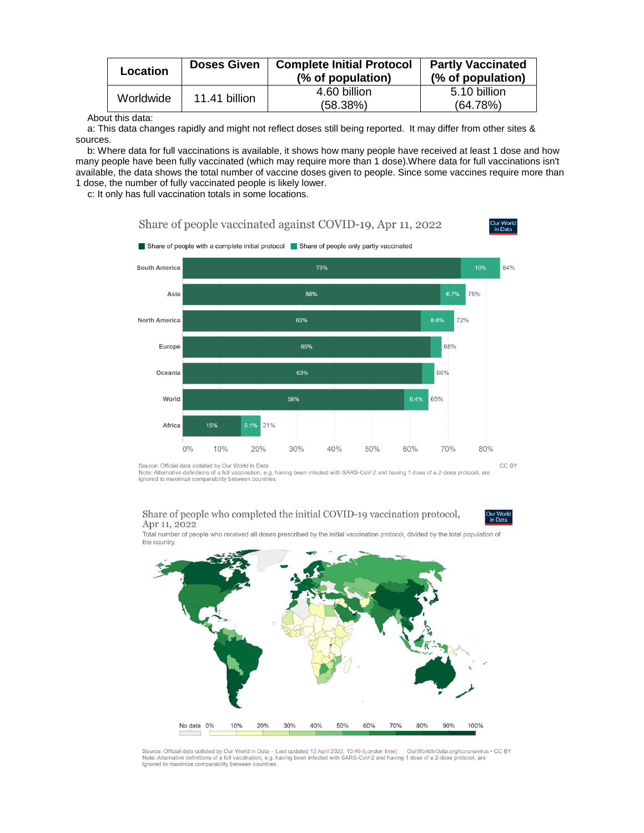| Location  | <b>Doses Given</b> | <b>Complete Initial Protocol</b><br>(% of population) | <b>Partly Vaccinated</b><br>(% of population) |
|-----------|--------------------|-------------------------------------------------------|-----------------------------------------------|
| Worldwide | 11.41 billion      | 4.60 billion<br>(58.38%)                              | 5.10 billion<br>(64.78%)                      |

About this data:

a: This data changes rapidly and might not reflect doses still being reported. It may differ from other sites & sources.

b: Where data for full vaccinations is available, it shows how many people have received at least 1 dose and how many people have been fully vaccinated (which may require more than 1 dose).Where data for full vaccinations isn't available, the data shows the total number of vaccine doses given to people. Since some vaccines require more than 1 dose, the number of fully vaccinated people is likely lower.

c: It only has full vaccination totals in some locations.



Source: Official data collated by Our World in Data<br>Note: Alternative definitions of a full vaccination, e.g. having been infected with SARS-CoV-2 and having 1 dose of a 2-dose protocol, are ignored to maximize comparability between countries

#### Share of people who completed the initial COVID-19 vaccination protocol, Apr 11, 2022



Total number of people who received all doses prescribed by the initial vaccination protocol, divided by the total population of the country.



Source: Official data collated by Our World in Data – Last updated 12 April 2022, 10:40 (London time) OurWorldInData.org/coronavirus • CC BY<br>Note: Alternative definitions of a full vaccination, e.g. having been infected wi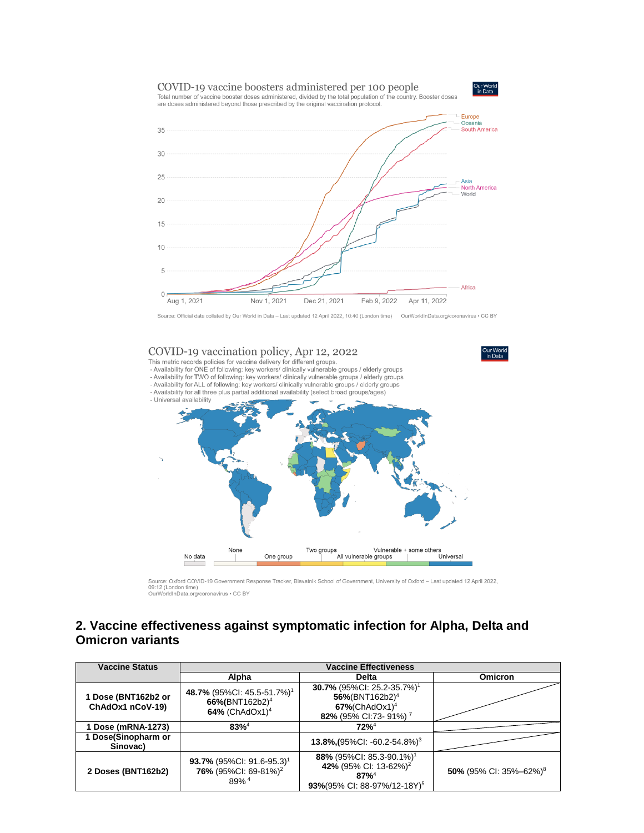

Source: Official data collated by Our World in Data - Last updated 12 April 2022, 10:40 (London time) OurWorldInData.org/coronavirus . CC BY



Source: Oxford COVID-19 Government Response Tracker, Blavatnik School of Government, University of Oxford – Last updated 12 April 2022,<br>09:12 (London time)<br>OurWorldInData.org/coronavirus • CC BY

#### **2. Vaccine effectiveness against symptomatic infection for Alpha, Delta and Omicron variants**

| <b>Vaccine Status</b>                   | <b>Vaccine Effectiveness</b>                                                                       |                                                                                                                                                |                                    |  |
|-----------------------------------------|----------------------------------------------------------------------------------------------------|------------------------------------------------------------------------------------------------------------------------------------------------|------------------------------------|--|
|                                         | Alpha                                                                                              | <b>Delta</b>                                                                                                                                   | Omicron                            |  |
| 1 Dose (BNT162b2 or<br>ChAdOx1 nCoV-19) | 48.7% (95%CI: 45.5-51.7%) <sup>1</sup><br>66%(BNT162b2) <sup>4</sup><br>64% (ChAdOx1) <sup>4</sup> | 30.7% (95%Cl: 25.2-35.7%) <sup>1</sup><br>$56\%$ (BNT162b2) <sup>4</sup><br>$67\%$ (ChAdOx1) <sup>4</sup><br>82% (95% CI:73- 91%) <sup>7</sup> |                                    |  |
| Dose (mRNA-1273)                        | $83\%^{4}$                                                                                         | $72%^{4}$                                                                                                                                      |                                    |  |
| 1 Dose(Sinopharm or<br>Sinovac)         |                                                                                                    | 13.8% (95% CI: -60.2-54.8%) <sup>3</sup>                                                                                                       |                                    |  |
| 2 Doses (BNT162b2)                      | 93.7% (95%CI: 91.6-95.3) <sup>1</sup><br>76% (95%Cl: 69-81%) <sup>2</sup><br>89% <sup>4</sup>      | 88% (95%CI: 85.3-90.1%) <sup>1</sup><br>42% (95% CI: 13-62%) <sup>2</sup><br>$87%^{4}$<br>93%(95% CI: 88-97%/12-18Y) <sup>5</sup>              | 50% (95% CI: 35%-62%) <sup>8</sup> |  |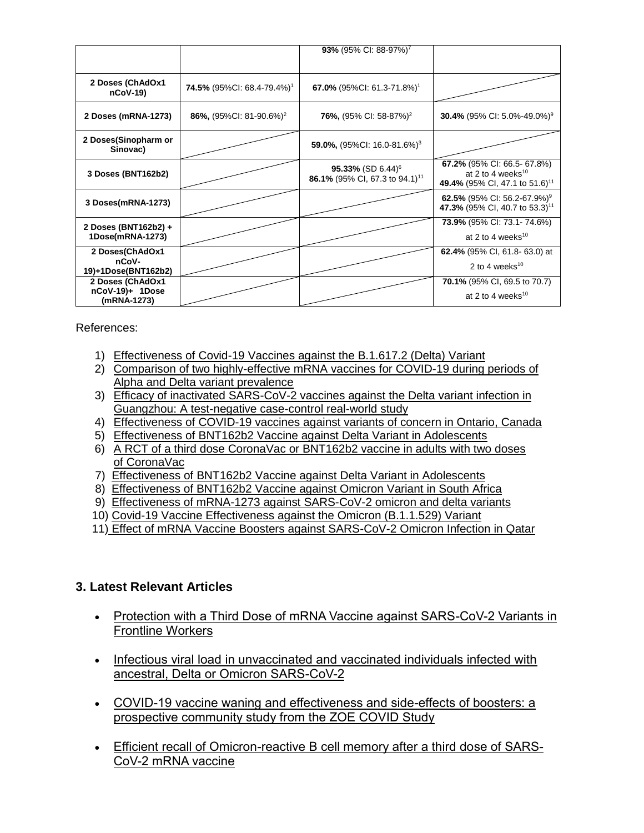|                                                    |                                               | 93% (95% CI: 88-97%) <sup>7</sup>                                           |                                                                                                            |
|----------------------------------------------------|-----------------------------------------------|-----------------------------------------------------------------------------|------------------------------------------------------------------------------------------------------------|
| 2 Doses (ChAdOx1<br>$nCoV-19$                      | <b>74.5%</b> (95%CI: 68.4-79.4%) <sup>1</sup> | 67.0% (95%Cl: 61.3-71.8%) <sup>1</sup>                                      |                                                                                                            |
| 2 Doses (mRNA-1273)                                | 86%, $(95\%$ CI: 81-90.6%) <sup>2</sup>       | <b>76%,</b> (95% CI: 58-87%) <sup>2</sup>                                   | <b>30.4%</b> (95% CI: 5.0%-49.0%) <sup>9</sup>                                                             |
| 2 Doses(Sinopharm or<br>Sinovac)                   |                                               | 59.0%, $(95\%$ CI: 16.0-81.6%) <sup>3</sup>                                 |                                                                                                            |
| 3 Doses (BNT162b2)                                 |                                               | 95.33% (SD 6.44) <sup>6</sup><br>86.1% (95% CI, 67.3 to 94.1) <sup>11</sup> | 67.2% (95% CI: 66.5- 67.8%)<br>at 2 to 4 weeks <sup>10</sup><br>49.4% (95% CI, 47.1 to 51.6) <sup>11</sup> |
| 3 Doses(mRNA-1273)                                 |                                               |                                                                             | 62.5% (95% CI: 56.2-67.9%) <sup>9</sup><br>47.3% (95% CI, 40.7 to 53.3) <sup>11</sup>                      |
| 2 Doses (BNT162b2) +<br>1Dose(mRNA-1273)           |                                               |                                                                             | 73.9% (95% CI: 73.1-74.6%)<br>at 2 to 4 weeks <sup>10</sup>                                                |
| 2 Doses(ChAdOx1<br>nCoV-<br>19)+1Dose(BNT162b2)    |                                               |                                                                             | <b>62.4%</b> (95% CI, 61.8-63.0) at<br>2 to 4 weeks <sup>10</sup>                                          |
| 2 Doses (ChAdOx1<br>nCoV-19)+ 1Dose<br>(mRNA-1273) |                                               |                                                                             | 70.1% (95% CI, 69.5 to 70.7)<br>at 2 to 4 weeks <sup>10</sup>                                              |

References:

- 1) [Effectiveness of Covid-19 Vaccines against the B.1.617.2 \(Delta\) Variant](https://www.nejm.org/doi/pdf/10.1056/NEJMoa2108891?articleTools=true)
- 2) [Comparison of two highly-effective mRNA vaccines for COVID-19 during periods of](https://www.medrxiv.org/content/10.1101/2021.08.06.21261707v1.full.pdf)  [Alpha and Delta variant prevalence](https://www.medrxiv.org/content/10.1101/2021.08.06.21261707v1.full.pdf)
- 3) [Efficacy of inactivated SARS-CoV-2 vaccines against the Delta variant infection in](https://www.tandfonline.com/doi/full/10.1080/22221751.2021.1969291)  [Guangzhou: A test-negative case-control real-world study](https://www.tandfonline.com/doi/full/10.1080/22221751.2021.1969291)
- 4) [Effectiveness of COVID-19 vaccines against variants of concern in Ontario, Canada](https://www.medrxiv.org/content/10.1101/2021.06.28.21259420v2.full.pdf)
- 5) [Effectiveness of BNT162b2 Vaccine against Delta Variant in Adolescents](https://www.nejm.org/doi/pdf/10.1056/NEJMc2114290?articleTools=true)
- 6) [A RCT of a third dose CoronaVac or BNT162b2 vaccine in adults with two doses](https://www.medrxiv.org/content/10.1101/2021.11.02.21265843v1.full.pdf)  [of CoronaVac](https://www.medrxiv.org/content/10.1101/2021.11.02.21265843v1.full.pdf)
- 7) [Effectiveness of BNT162b2 Vaccine against Delta Variant in Adolescents](https://www.nejm.org/doi/full/10.1056/NEJMc2114290?query=featured_home)
- 8) [Effectiveness of BNT162b2 Vaccine against Omicron Variant in South Africa](https://www.nejm.org/doi/full/10.1056/NEJMc2119270)
- 9) [Effectiveness of mRNA-1273 against SARS-CoV-2 omicron and delta variants](https://www.medrxiv.org/content/10.1101/2022.01.07.22268919v1)
- 10) [Covid-19 Vaccine Effectiveness against the Omicron \(B.1.1.529\) Variant](https://www.nejm.org/doi/full/10.1056/NEJMoa2119451?query=featured_home)
- 11) [Effect of mRNA Vaccine Boosters against SARS-CoV-2 Omicron Infection in Qatar](https://www.nejm.org/doi/full/10.1056/NEJMoa2200797)

## **3. Latest Relevant Articles**

- Protection with a Third Dose of mRNA Vaccine against SARS-CoV-2 Variants in [Frontline Workers](https://www.nejm.org/doi/full/10.1056/NEJMc2201821)
- Infectious viral load in unvaccinated and vaccinated individuals infected with [ancestral, Delta or Omicron SARS-CoV-2](https://www.nature.com/articles/s41591-022-01816-0)
- [COVID-19 vaccine waning and effectiveness and side-effects of boosters: a](https://www.thelancet.com/journals/laninf/article/PIIS1473-3099(22)00146-3/fulltext)  [prospective community study from the ZOE COVID Study](https://www.thelancet.com/journals/laninf/article/PIIS1473-3099(22)00146-3/fulltext)
- [Efficient recall of Omicron-reactive B cell memory after a third dose of SARS-](https://www.cell.com/cell/fulltext/S0092-8674(22)00456-1)[CoV-2 mRNA vaccine](https://www.cell.com/cell/fulltext/S0092-8674(22)00456-1)